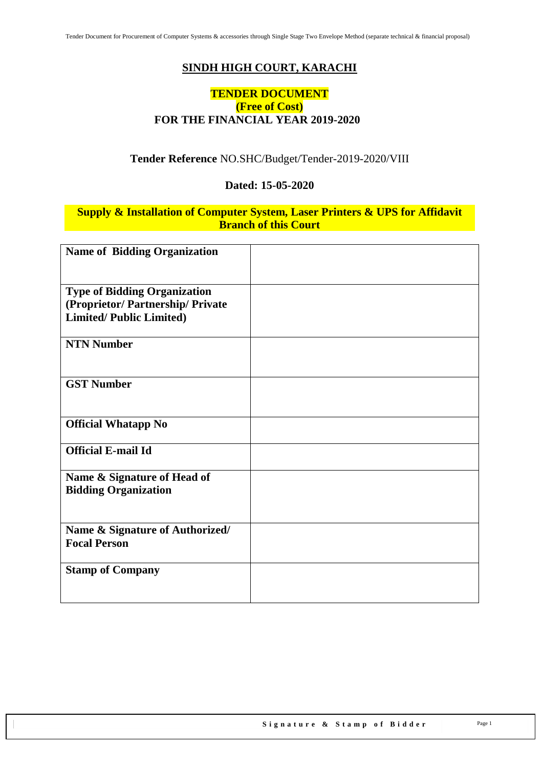## **SINDH HIGH COURT, KARACHI**

#### **TENDER DOCUMENT (Free of Cost) FOR THE FINANCIAL YEAR 2019-2020**

#### **Tender Reference** NO.SHC/Budget/Tender-2019-2020/VIII

#### **Dated: 15-05-2020**

#### **Supply & Installation of Computer System, Laser Printers & UPS for Affidavit Branch of this Court**

| <b>Name of Bidding Organization</b> |  |
|-------------------------------------|--|
|                                     |  |
| <b>Type of Bidding Organization</b> |  |
| (Proprietor/Partnership/Private     |  |
| <b>Limited/Public Limited)</b>      |  |
|                                     |  |
| <b>NTN Number</b>                   |  |
|                                     |  |
| <b>GST Number</b>                   |  |
|                                     |  |
|                                     |  |
| <b>Official Whatapp No</b>          |  |
|                                     |  |
| <b>Official E-mail Id</b>           |  |
|                                     |  |
| Name & Signature of Head of         |  |
| <b>Bidding Organization</b>         |  |
|                                     |  |
| Name & Signature of Authorized/     |  |
| <b>Focal Person</b>                 |  |
|                                     |  |
| <b>Stamp of Company</b>             |  |
|                                     |  |
|                                     |  |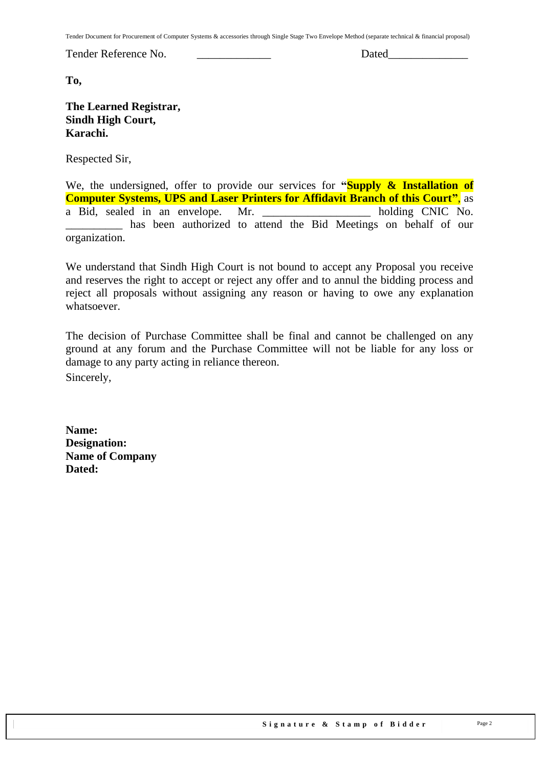Tender Document for Procurement of Computer Systems & accessories through Single Stage Two Envelope Method (separate technical & financial proposal)

Tender Reference No. \_\_\_\_\_\_\_\_\_\_\_\_\_ Dated\_\_\_\_\_\_\_\_\_\_\_\_\_\_

**To,** 

#### **The Learned Registrar, Sindh High Court, Karachi.**

Respected Sir,

We, the undersigned, offer to provide our services for **"Supply & Installation of Computer Systems, UPS and Laser Printers for Affidavit Branch of this Court"**, as a Bid, sealed in an envelope. Mr. \_\_\_\_\_\_\_\_\_\_\_\_\_\_\_\_\_\_\_ holding CNIC No. \_\_\_\_\_\_\_\_\_\_ has been authorized to attend the Bid Meetings on behalf of our organization.

We understand that Sindh High Court is not bound to accept any Proposal you receive and reserves the right to accept or reject any offer and to annul the bidding process and reject all proposals without assigning any reason or having to owe any explanation whatsoever.

The decision of Purchase Committee shall be final and cannot be challenged on any ground at any forum and the Purchase Committee will not be liable for any loss or damage to any party acting in reliance thereon. Sincerely,

**Name: Designation: Name of Company Dated:**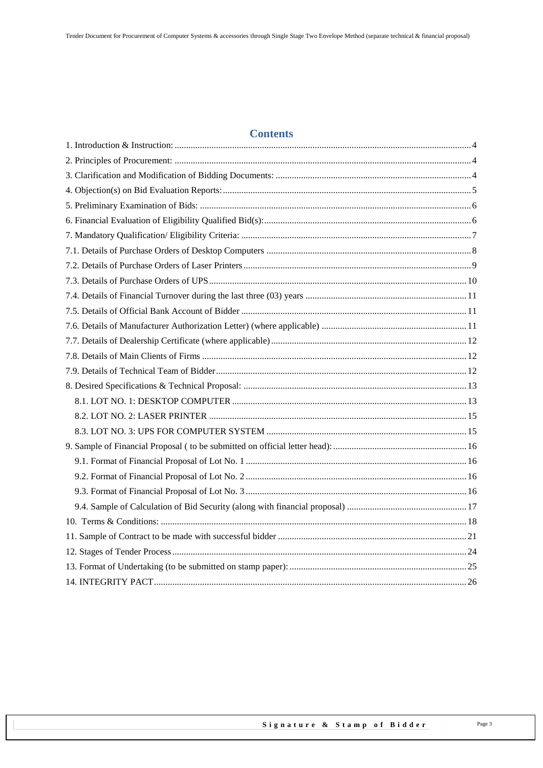### **Contents**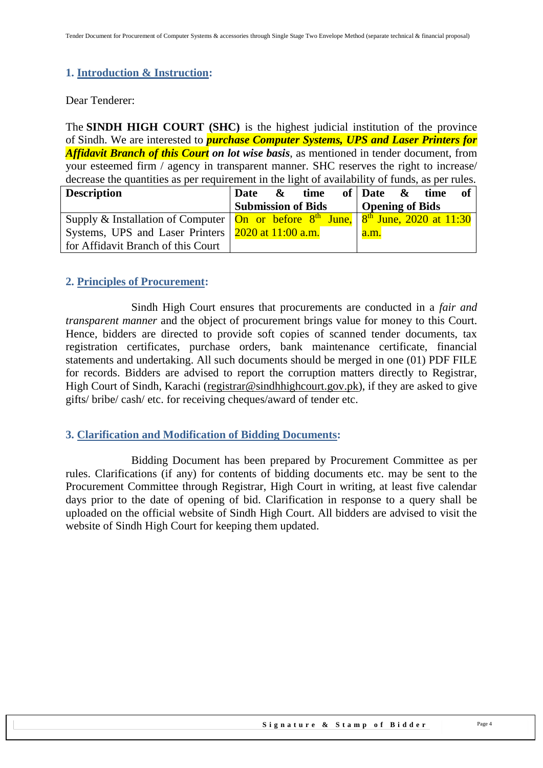#### <span id="page-3-0"></span>**1. Introduction & Instruction:**

Dear Tenderer:

The **SINDH HIGH COURT (SHC)** is the highest judicial institution of the province of [Sindh.](https://en.wikipedia.org/wiki/Sindh) We are interested to *purchase Computer Systems, UPS and Laser Printers for Affidavit Branch of this Court on lot wise basis*, as mentioned in tender document, from your esteemed firm / agency in transparent manner. SHC reserves the right to increase/ decrease the quantities as per requirement in the light of availability of funds, as per rules.

| <b>Description</b>                                                                                                       | <b>Date</b>               | $\boldsymbol{\alpha}$ | time |      | of Date $\&$ time      | of |
|--------------------------------------------------------------------------------------------------------------------------|---------------------------|-----------------------|------|------|------------------------|----|
|                                                                                                                          | <b>Submission of Bids</b> |                       |      |      | <b>Opening of Bids</b> |    |
| Supply & Installation of Computer $\vert$ On or before 8 <sup>th</sup> June, $\vert$ 8 <sup>th</sup> June, 2020 at 11:30 |                           |                       |      |      |                        |    |
| Systems, UPS and Laser Printers   2020 at 11:00 a.m.                                                                     |                           |                       |      | a.m. |                        |    |
| for Affidavit Branch of this Court                                                                                       |                           |                       |      |      |                        |    |

#### <span id="page-3-1"></span>**2. Principles of Procurement:**

Sindh High Court ensures that procurements are conducted in a *fair and transparent manner* and the object of procurement brings value for money to this Court. Hence, bidders are directed to provide soft copies of scanned tender documents, tax registration certificates, purchase orders, bank maintenance certificate, financial statements and undertaking. All such documents should be merged in one (01) PDF FILE for records. Bidders are advised to report the corruption matters directly to Registrar, High Court of Sindh, Karachi [\(registrar@sindhhighcourt.gov.pk\)](mailto:registrar@sindhhighcourt.gov.pk), if they are asked to give gifts/ bribe/ cash/ etc. for receiving cheques/award of tender etc.

#### <span id="page-3-2"></span>**3. Clarification and Modification of Bidding Documents:**

Bidding Document has been prepared by Procurement Committee as per rules. Clarifications (if any) for contents of bidding documents etc. may be sent to the Procurement Committee through Registrar, High Court in writing, at least five calendar days prior to the date of opening of bid. Clarification in response to a query shall be uploaded on the official website of Sindh High Court. All bidders are advised to visit the website of Sindh High Court for keeping them updated.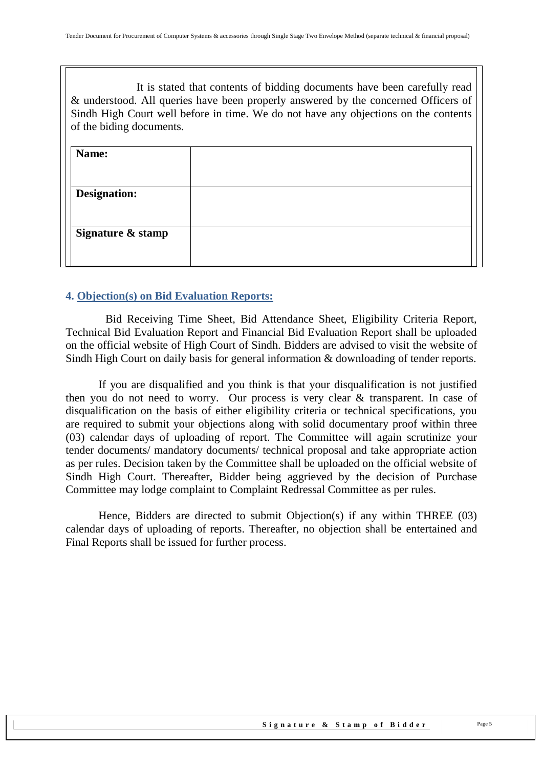It is stated that contents of bidding documents have been carefully read & understood. All queries have been properly answered by the concerned Officers of Sindh High Court well before in time. We do not have any objections on the contents of the biding documents.

| Name:               |  |
|---------------------|--|
|                     |  |
| <b>Designation:</b> |  |
|                     |  |
| Signature & stamp   |  |
|                     |  |

#### <span id="page-4-0"></span>**4. Objection(s) on Bid Evaluation Reports:**

 Bid Receiving Time Sheet, Bid Attendance Sheet, Eligibility Criteria Report, Technical Bid Evaluation Report and Financial Bid Evaluation Report shall be uploaded on the official website of High Court of Sindh. Bidders are advised to visit the website of Sindh High Court on daily basis for general information & downloading of tender reports.

If you are disqualified and you think is that your disqualification is not justified then you do not need to worry. Our process is very clear & transparent. In case of disqualification on the basis of either eligibility criteria or technical specifications, you are required to submit your objections along with solid documentary proof within three (03) calendar days of uploading of report. The Committee will again scrutinize your tender documents/ mandatory documents/ technical proposal and take appropriate action as per rules. Decision taken by the Committee shall be uploaded on the official website of Sindh High Court. Thereafter, Bidder being aggrieved by the decision of Purchase Committee may lodge complaint to Complaint Redressal Committee as per rules.

Hence, Bidders are directed to submit Objection(s) if any within THREE (03) calendar days of uploading of reports. Thereafter, no objection shall be entertained and Final Reports shall be issued for further process.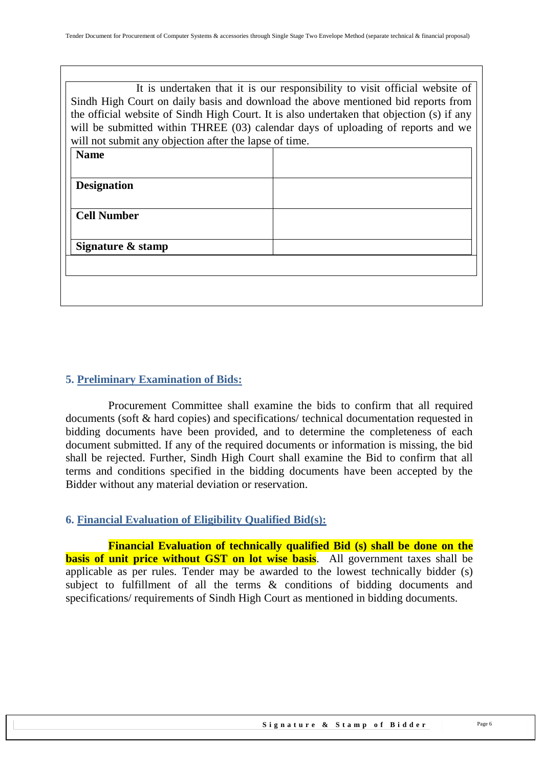| It is undertaken that it is our responsibility to visit official website of<br>Sindh High Court on daily basis and download the above mentioned bid reports from<br>the official website of Sindh High Court. It is also undertaken that objection (s) if any<br>will be submitted within THREE (03) calendar days of uploading of reports and we<br>will not submit any objection after the lapse of time. |  |  |  |  |
|-------------------------------------------------------------------------------------------------------------------------------------------------------------------------------------------------------------------------------------------------------------------------------------------------------------------------------------------------------------------------------------------------------------|--|--|--|--|
| <b>Name</b>                                                                                                                                                                                                                                                                                                                                                                                                 |  |  |  |  |
|                                                                                                                                                                                                                                                                                                                                                                                                             |  |  |  |  |
| <b>Designation</b>                                                                                                                                                                                                                                                                                                                                                                                          |  |  |  |  |
|                                                                                                                                                                                                                                                                                                                                                                                                             |  |  |  |  |
| <b>Cell Number</b>                                                                                                                                                                                                                                                                                                                                                                                          |  |  |  |  |
|                                                                                                                                                                                                                                                                                                                                                                                                             |  |  |  |  |
| Signature & stamp                                                                                                                                                                                                                                                                                                                                                                                           |  |  |  |  |
|                                                                                                                                                                                                                                                                                                                                                                                                             |  |  |  |  |
|                                                                                                                                                                                                                                                                                                                                                                                                             |  |  |  |  |
|                                                                                                                                                                                                                                                                                                                                                                                                             |  |  |  |  |

#### <span id="page-5-0"></span>**5. Preliminary Examination of Bids:**

 Procurement Committee shall examine the bids to confirm that all required documents (soft & hard copies) and specifications/ technical documentation requested in bidding documents have been provided, and to determine the completeness of each document submitted. If any of the required documents or information is missing, the bid shall be rejected. Further, Sindh High Court shall examine the Bid to confirm that all terms and conditions specified in the bidding documents have been accepted by the Bidder without any material deviation or reservation.

#### <span id="page-5-1"></span>**6. Financial Evaluation of Eligibility Qualified Bid(s):**

 **Financial Evaluation of technically qualified Bid (s) shall be done on the basis of unit price without GST on lot wise basis**. All government taxes shall be applicable as per rules. Tender may be awarded to the lowest technically bidder (s) subject to fulfillment of all the terms & conditions of bidding documents and specifications/ requirements of Sindh High Court as mentioned in bidding documents.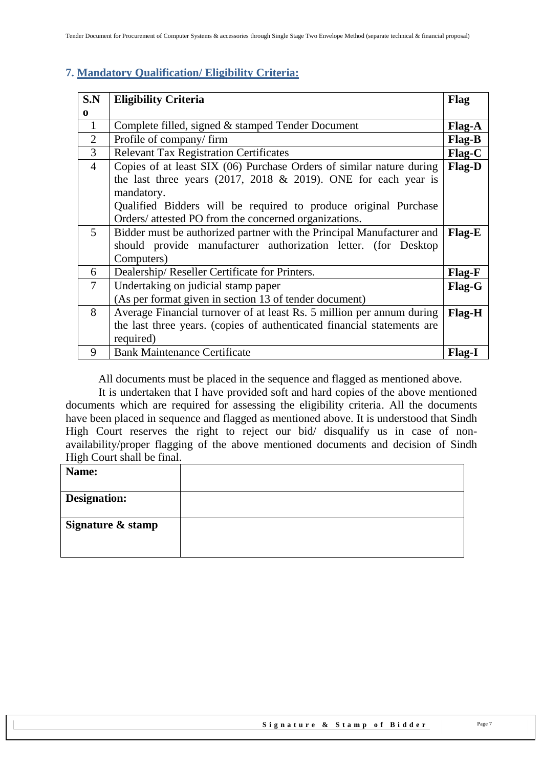### <span id="page-6-0"></span>**7. Mandatory Qualification/ Eligibility Criteria:**

| S.N            | <b>Eligibility Criteria</b>                                             | <b>Flag</b>   |
|----------------|-------------------------------------------------------------------------|---------------|
| $\bf{0}$       |                                                                         |               |
| $\mathbf{1}$   | Complete filled, signed & stamped Tender Document                       | Flag-A        |
| $\overline{2}$ | Profile of company/firm                                                 | Flag-B        |
| 3              | <b>Relevant Tax Registration Certificates</b>                           | Flag-C        |
| $\overline{4}$ | Copies of at least SIX (06) Purchase Orders of similar nature during    | Flag-D        |
|                | the last three years $(2017, 2018 \& 2019)$ . ONE for each year is      |               |
|                | mandatory.                                                              |               |
|                | Qualified Bidders will be required to produce original Purchase         |               |
|                | Orders/ attested PO from the concerned organizations.                   |               |
| 5              | Bidder must be authorized partner with the Principal Manufacturer and   | Flag-E        |
|                | should provide manufacturer authorization letter. (for Desktop          |               |
|                | Computers)                                                              |               |
| 6              | Dealership/Reseller Certificate for Printers.                           | Flag-F        |
| $\overline{7}$ | Undertaking on judicial stamp paper                                     | Flag-G        |
|                | (As per format given in section 13 of tender document)                  |               |
| 8              | Average Financial turnover of at least Rs. 5 million per annum during   | <b>Flag-H</b> |
|                | the last three years. (copies of authenticated financial statements are |               |
|                | required)                                                               |               |
| 9              | <b>Bank Maintenance Certificate</b>                                     | <b>Flag-I</b> |

All documents must be placed in the sequence and flagged as mentioned above.

It is undertaken that I have provided soft and hard copies of the above mentioned documents which are required for assessing the eligibility criteria. All the documents have been placed in sequence and flagged as mentioned above. It is understood that Sindh High Court reserves the right to reject our bid/ disqualify us in case of nonavailability/proper flagging of the above mentioned documents and decision of Sindh High Court shall be final.

| Name:               |  |
|---------------------|--|
| <b>Designation:</b> |  |
| Signature & stamp   |  |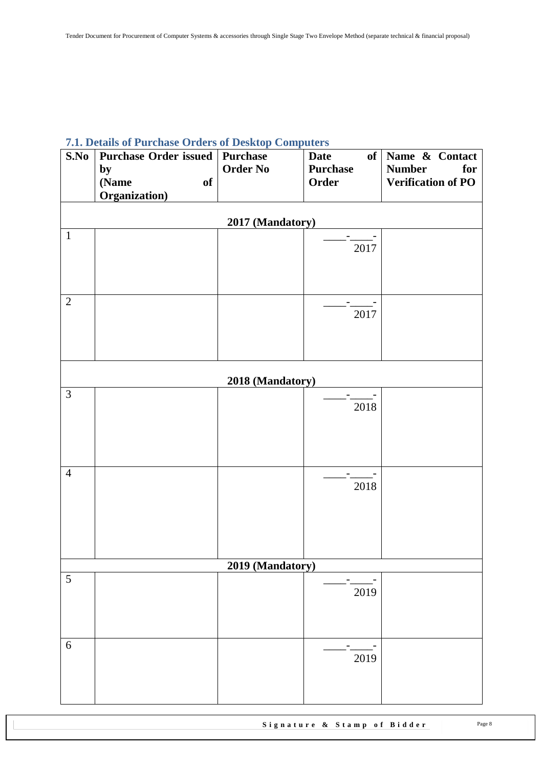# <span id="page-7-0"></span>**7.1. Details of Purchase Orders of Desktop Computers**

| S.No           | <b>Purchase Order issued</b> | <b>Purchase</b>  | <b>Date</b>     | of Name & Contact         |  |  |
|----------------|------------------------------|------------------|-----------------|---------------------------|--|--|
|                | by                           | <b>Order No</b>  | <b>Purchase</b> | <b>Number</b><br>for      |  |  |
|                | of<br>(Name                  |                  | Order           | <b>Verification of PO</b> |  |  |
|                | Organization)                |                  |                 |                           |  |  |
|                |                              | 2017 (Mandatory) |                 |                           |  |  |
| $\mathbf{1}$   |                              |                  |                 |                           |  |  |
|                |                              |                  | 2017            |                           |  |  |
|                |                              |                  |                 |                           |  |  |
|                |                              |                  |                 |                           |  |  |
| $\mathbf{2}$   |                              |                  |                 |                           |  |  |
|                |                              |                  | 2017            |                           |  |  |
|                |                              |                  |                 |                           |  |  |
|                |                              |                  |                 |                           |  |  |
|                |                              |                  |                 |                           |  |  |
|                |                              | 2018 (Mandatory) |                 |                           |  |  |
| $\overline{3}$ |                              |                  |                 |                           |  |  |
|                |                              |                  | 2018            |                           |  |  |
|                |                              |                  |                 |                           |  |  |
|                |                              |                  |                 |                           |  |  |
|                |                              |                  |                 |                           |  |  |
| $\overline{4}$ |                              |                  |                 |                           |  |  |
|                |                              |                  | 2018            |                           |  |  |
|                |                              |                  |                 |                           |  |  |
|                |                              |                  |                 |                           |  |  |
|                |                              |                  |                 |                           |  |  |
|                |                              |                  |                 |                           |  |  |
|                | 2019 (Mandatory)             |                  |                 |                           |  |  |
| $\sqrt{5}$     |                              |                  |                 |                           |  |  |
|                |                              |                  | 2019            |                           |  |  |
|                |                              |                  |                 |                           |  |  |
|                |                              |                  |                 |                           |  |  |
| 6              |                              |                  |                 |                           |  |  |
|                |                              |                  | 2019            |                           |  |  |
|                |                              |                  |                 |                           |  |  |
|                |                              |                  |                 |                           |  |  |
|                |                              |                  |                 |                           |  |  |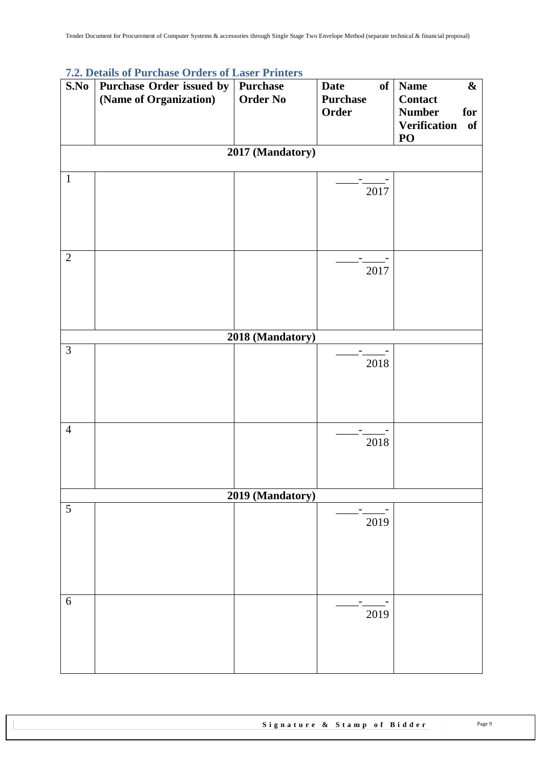|                | 7.2. Details of Purchase Orders of Laser Printers |                  |                   |                                  |
|----------------|---------------------------------------------------|------------------|-------------------|----------------------------------|
| S.No           | Purchase Order issued by                          | Purchase         | <b>Date</b><br>of | <b>Name</b><br>$\boldsymbol{\&}$ |
|                | (Name of Organization)                            | <b>Order No</b>  | <b>Purchase</b>   | <b>Contact</b>                   |
|                |                                                   |                  | Order             | <b>Number</b><br>for             |
|                |                                                   |                  |                   | <b>Verification</b><br>of        |
|                |                                                   |                  |                   | PO                               |
|                |                                                   |                  |                   |                                  |
|                |                                                   | 2017 (Mandatory) |                   |                                  |
| $\mathbf{1}$   |                                                   |                  |                   |                                  |
|                |                                                   |                  | 2017              |                                  |
|                |                                                   |                  |                   |                                  |
|                |                                                   |                  |                   |                                  |
|                |                                                   |                  |                   |                                  |
|                |                                                   |                  |                   |                                  |
|                |                                                   |                  |                   |                                  |
| $\overline{2}$ |                                                   |                  |                   |                                  |
|                |                                                   |                  | 2017              |                                  |
|                |                                                   |                  |                   |                                  |
|                |                                                   |                  |                   |                                  |
|                |                                                   |                  |                   |                                  |
|                |                                                   |                  |                   |                                  |
|                |                                                   | 2018 (Mandatory) |                   |                                  |
| 3              |                                                   |                  |                   |                                  |
|                |                                                   |                  | 2018              |                                  |
|                |                                                   |                  |                   |                                  |
|                |                                                   |                  |                   |                                  |
|                |                                                   |                  |                   |                                  |
|                |                                                   |                  |                   |                                  |
|                |                                                   |                  |                   |                                  |
| $\overline{4}$ |                                                   |                  |                   |                                  |
|                |                                                   |                  | 2018              |                                  |
|                |                                                   |                  |                   |                                  |
|                |                                                   |                  |                   |                                  |
|                |                                                   |                  |                   |                                  |
|                |                                                   | 2019 (Mandatory) |                   |                                  |
| 5              |                                                   |                  |                   |                                  |
|                |                                                   |                  | 2019              |                                  |
|                |                                                   |                  |                   |                                  |
|                |                                                   |                  |                   |                                  |
|                |                                                   |                  |                   |                                  |
|                |                                                   |                  |                   |                                  |
|                |                                                   |                  |                   |                                  |
|                |                                                   |                  |                   |                                  |
| $6\,$          |                                                   |                  |                   |                                  |
|                |                                                   |                  | 2019              |                                  |
|                |                                                   |                  |                   |                                  |
|                |                                                   |                  |                   |                                  |
|                |                                                   |                  |                   |                                  |
|                |                                                   |                  |                   |                                  |
|                |                                                   |                  |                   |                                  |

# <span id="page-8-0"></span>**7.2. Details of Purchase Orders of Laser Printers**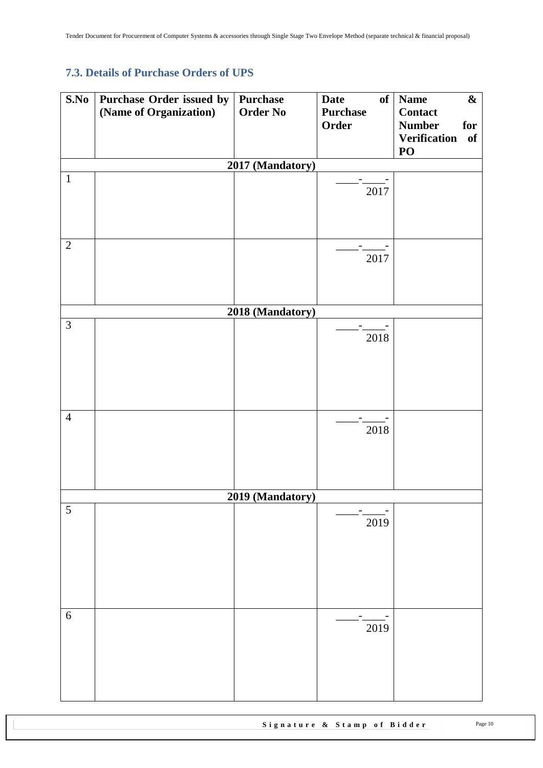# <span id="page-9-0"></span>**7.3. Details of Purchase Orders of UPS**

| (Name of Organization)<br><b>Order No</b><br><b>Purchase</b><br><b>Contact</b><br>Order<br><b>Number</b><br>for<br><b>Verification</b><br><b>of</b><br>PO<br>2017 (Mandatory)<br>$\mathbf{1}$<br>2017<br>$\overline{2}$<br>2017<br>2018 (Mandatory)<br>$\overline{3}$<br>2018<br>$\overline{4}$<br>2018<br>2019 (Mandatory)<br>$\sqrt{5}$ |
|-------------------------------------------------------------------------------------------------------------------------------------------------------------------------------------------------------------------------------------------------------------------------------------------------------------------------------------------|
|                                                                                                                                                                                                                                                                                                                                           |
|                                                                                                                                                                                                                                                                                                                                           |
|                                                                                                                                                                                                                                                                                                                                           |
|                                                                                                                                                                                                                                                                                                                                           |
|                                                                                                                                                                                                                                                                                                                                           |
|                                                                                                                                                                                                                                                                                                                                           |
|                                                                                                                                                                                                                                                                                                                                           |
|                                                                                                                                                                                                                                                                                                                                           |
|                                                                                                                                                                                                                                                                                                                                           |
|                                                                                                                                                                                                                                                                                                                                           |
|                                                                                                                                                                                                                                                                                                                                           |
|                                                                                                                                                                                                                                                                                                                                           |
|                                                                                                                                                                                                                                                                                                                                           |
|                                                                                                                                                                                                                                                                                                                                           |
|                                                                                                                                                                                                                                                                                                                                           |
|                                                                                                                                                                                                                                                                                                                                           |
|                                                                                                                                                                                                                                                                                                                                           |
|                                                                                                                                                                                                                                                                                                                                           |
|                                                                                                                                                                                                                                                                                                                                           |
|                                                                                                                                                                                                                                                                                                                                           |
|                                                                                                                                                                                                                                                                                                                                           |
|                                                                                                                                                                                                                                                                                                                                           |
|                                                                                                                                                                                                                                                                                                                                           |
|                                                                                                                                                                                                                                                                                                                                           |
|                                                                                                                                                                                                                                                                                                                                           |
|                                                                                                                                                                                                                                                                                                                                           |
|                                                                                                                                                                                                                                                                                                                                           |
|                                                                                                                                                                                                                                                                                                                                           |
|                                                                                                                                                                                                                                                                                                                                           |
| 2019                                                                                                                                                                                                                                                                                                                                      |
|                                                                                                                                                                                                                                                                                                                                           |
|                                                                                                                                                                                                                                                                                                                                           |
|                                                                                                                                                                                                                                                                                                                                           |
|                                                                                                                                                                                                                                                                                                                                           |
|                                                                                                                                                                                                                                                                                                                                           |
| $\sqrt{6}$                                                                                                                                                                                                                                                                                                                                |
| 2019                                                                                                                                                                                                                                                                                                                                      |
|                                                                                                                                                                                                                                                                                                                                           |
|                                                                                                                                                                                                                                                                                                                                           |
|                                                                                                                                                                                                                                                                                                                                           |
|                                                                                                                                                                                                                                                                                                                                           |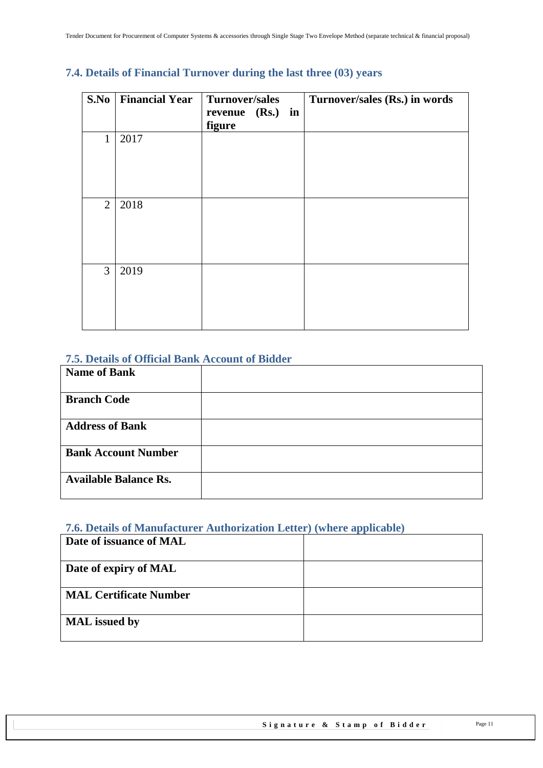| S.No           | <b>Financial Year</b> | <b>Turnover/sales</b>      | Turnover/sales (Rs.) in words |
|----------------|-----------------------|----------------------------|-------------------------------|
|                |                       | revenue (Rs.) in<br>figure |                               |
| 1              | 2017                  |                            |                               |
| $\overline{2}$ | 2018                  |                            |                               |
| $\overline{3}$ | 2019                  |                            |                               |

## <span id="page-10-0"></span>**7.4. Details of Financial Turnover during the last three (03) years**

### <span id="page-10-1"></span>**7.5. Details of Official Bank Account of Bidder**

| <b>Name of Bank</b>          |  |
|------------------------------|--|
| <b>Branch Code</b>           |  |
| <b>Address of Bank</b>       |  |
| <b>Bank Account Number</b>   |  |
| <b>Available Balance Rs.</b> |  |

### <span id="page-10-2"></span>**7.6. Details of Manufacturer Authorization Letter) (where applicable)**

| Date of issuance of MAL       |  |
|-------------------------------|--|
| Date of expiry of MAL         |  |
| <b>MAL Certificate Number</b> |  |
| <b>MAL</b> issued by          |  |
|                               |  |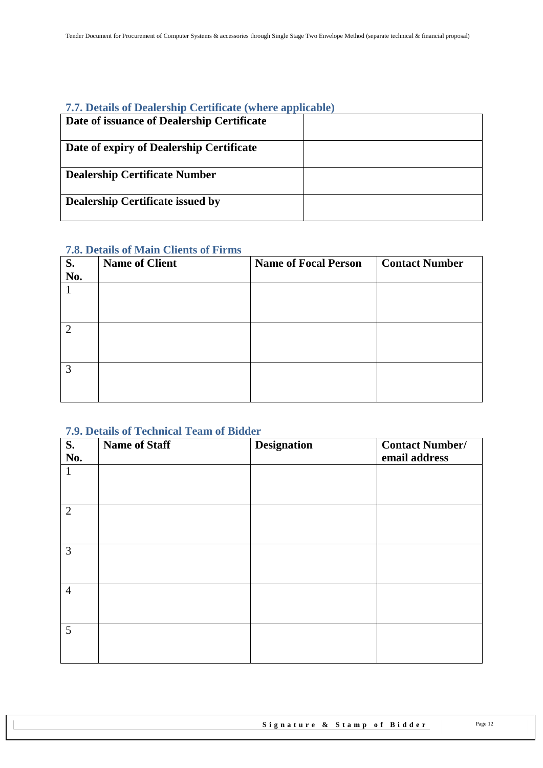#### <span id="page-11-0"></span>**7.7. Details of Dealership Certificate (where applicable)**

| 7.7. Details of Dealership Certificate (where applicable) |  |
|-----------------------------------------------------------|--|
| Date of issuance of Dealership Certificate                |  |
| Date of expiry of Dealership Certificate                  |  |
| <b>Dealership Certificate Number</b>                      |  |
| <b>Dealership Certificate issued by</b>                   |  |

### <span id="page-11-1"></span>**7.8. Details of Main Clients of Firms**

| S.             | <b>Name of Client</b> | <b>Name of Focal Person</b> | <b>Contact Number</b> |
|----------------|-----------------------|-----------------------------|-----------------------|
| No.            |                       |                             |                       |
|                |                       |                             |                       |
|                |                       |                             |                       |
|                |                       |                             |                       |
| $\overline{2}$ |                       |                             |                       |
|                |                       |                             |                       |
|                |                       |                             |                       |
| 3              |                       |                             |                       |
|                |                       |                             |                       |
|                |                       |                             |                       |

#### <span id="page-11-2"></span>**7.9. Details of Technical Team of Bidder**

| S.<br>No.      | <b>Name of Staff</b> | <b>Designation</b> | <b>Contact Number/</b><br>email address |
|----------------|----------------------|--------------------|-----------------------------------------|
| $\mathbf{1}$   |                      |                    |                                         |
| $\overline{2}$ |                      |                    |                                         |
| 3              |                      |                    |                                         |
| $\overline{4}$ |                      |                    |                                         |
| 5              |                      |                    |                                         |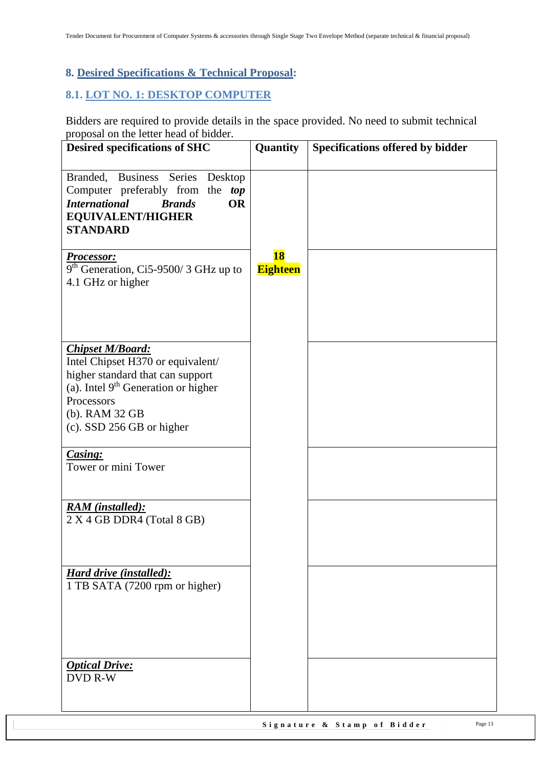## <span id="page-12-0"></span>**8. Desired Specifications & Technical Proposal:**

#### <span id="page-12-1"></span>**8.1. LOT NO. 1: DESKTOP COMPUTER**

Bidders are required to provide details in the space provided. No need to submit technical proposal on the letter head of bidder.

| <b>Desired specifications of SHC</b>                                                                                                                                                                      | Quantity                     | Specifications offered by bidder |
|-----------------------------------------------------------------------------------------------------------------------------------------------------------------------------------------------------------|------------------------------|----------------------------------|
| Branded, Business Series Desktop<br>Computer preferably from the top<br><b>International</b><br><b>OR</b><br><b>Brands</b><br><b>EQUIVALENT/HIGHER</b><br><b>STANDARD</b>                                 |                              |                                  |
| <b>Processor:</b><br>$\frac{1}{9}$ <sup>th</sup> Generation, Ci5-9500/3 GHz up to<br>4.1 GHz or higher                                                                                                    | <b>18</b><br><b>Eighteen</b> |                                  |
| <b>Chipset M/Board:</b><br>Intel Chipset H370 or equivalent/<br>higher standard that can support<br>(a). Intel $9th$ Generation or higher<br>Processors<br>(b). RAM 32 GB<br>$(c)$ . SSD 256 GB or higher |                              |                                  |
| Casing:<br>Tower or mini Tower                                                                                                                                                                            |                              |                                  |
| <b>RAM</b> (installed):<br>2 X 4 GB DDR4 (Total 8 GB)                                                                                                                                                     |                              |                                  |
| <b>Hard drive (installed):</b><br>1 TB SATA (7200 rpm or higher)                                                                                                                                          |                              |                                  |
| <b>Optical Drive:</b><br><b>DVD R-W</b>                                                                                                                                                                   |                              |                                  |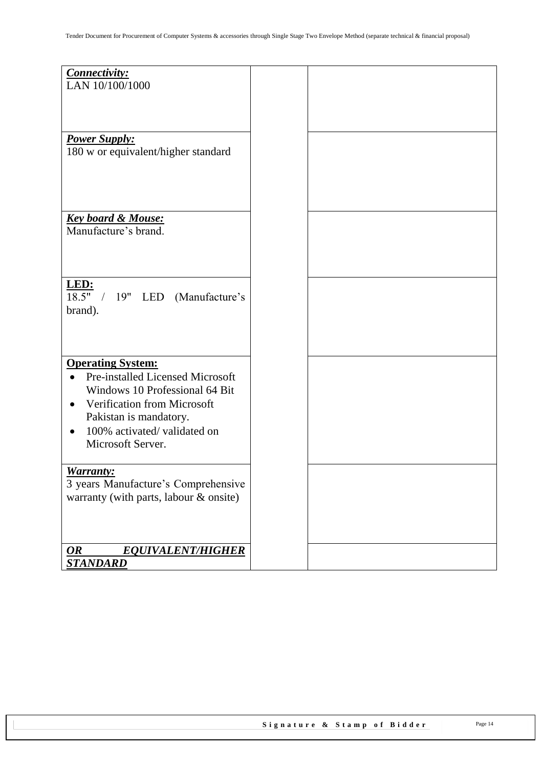| Connectivity:<br>LAN 10/100/1000                            |  |
|-------------------------------------------------------------|--|
|                                                             |  |
| <b>Power Supply:</b><br>180 w or equivalent/higher standard |  |
|                                                             |  |
|                                                             |  |
| <b>Key board &amp; Mouse:</b><br>Manufacture's brand.       |  |
|                                                             |  |
|                                                             |  |
| LED:<br>18.5" / 19" LED (Manufacture's<br>brand).           |  |
|                                                             |  |
|                                                             |  |
| <b>Operating System:</b>                                    |  |
| <b>Pre-installed Licensed Microsoft</b><br>$\bullet$        |  |
| Windows 10 Professional 64 Bit                              |  |
| Verification from Microsoft                                 |  |
| Pakistan is mandatory.                                      |  |
| 100% activated/validated on                                 |  |
| Microsoft Server.                                           |  |
| <b>Warranty:</b>                                            |  |
| 3 years Manufacture's Comprehensive                         |  |
| warranty (with parts, labour & onsite)                      |  |
|                                                             |  |
|                                                             |  |
| <b>OR</b><br><b>EQUIVALENT/HIGHER</b><br><b>STANDARD</b>    |  |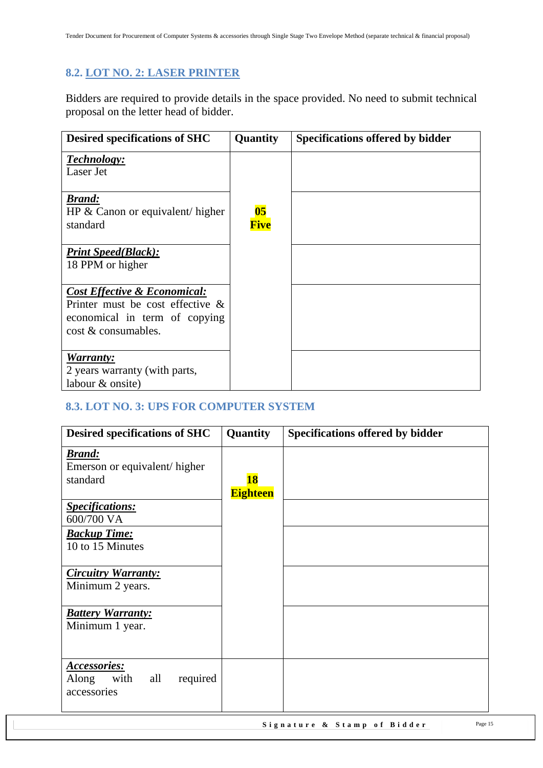## <span id="page-14-0"></span>**8.2. LOT NO. 2: LASER PRINTER**

Bidders are required to provide details in the space provided. No need to submit technical proposal on the letter head of bidder.

| <b>Desired specifications of SHC</b>                                                                                                   | Quantity                         | <b>Specifications offered by bidder</b> |
|----------------------------------------------------------------------------------------------------------------------------------------|----------------------------------|-----------------------------------------|
| Technology:<br>Laser Jet                                                                                                               |                                  |                                         |
| <b>Brand:</b><br>HP $\&$ Canon or equivalent/ higher<br>standard                                                                       | $\overline{\textbf{05}}$<br>Five |                                         |
| <b>Print Speed(Black):</b><br>18 PPM or higher                                                                                         |                                  |                                         |
| <b>Cost Effective &amp; Economical:</b><br>Printer must be cost effective $\&$<br>economical in term of copying<br>cost & consumables. |                                  |                                         |
| Warranty:<br>2 years warranty (with parts,<br>labour & onsite)                                                                         |                                  |                                         |

## <span id="page-14-1"></span>**8.3. LOT NO. 3: UPS FOR COMPUTER SYSTEM**

| <b>Desired specifications of SHC</b>                                   | Quantity        | <b>Specifications offered by bidder</b> |
|------------------------------------------------------------------------|-----------------|-----------------------------------------|
| <b>Brand:</b><br>Emerson or equivalent/higher<br>standard              | <b>18</b>       |                                         |
| <b>Specifications:</b><br>600/700 VA                                   | <b>Eighteen</b> |                                         |
| <b>Backup Time:</b><br>10 to 15 Minutes                                |                 |                                         |
| <b>Circuitry Warranty:</b><br>Minimum 2 years.                         |                 |                                         |
| <b>Battery Warranty:</b><br>Minimum 1 year.                            |                 |                                         |
| <b>Accessories:</b><br>with<br>required<br>all<br>Along<br>accessories |                 |                                         |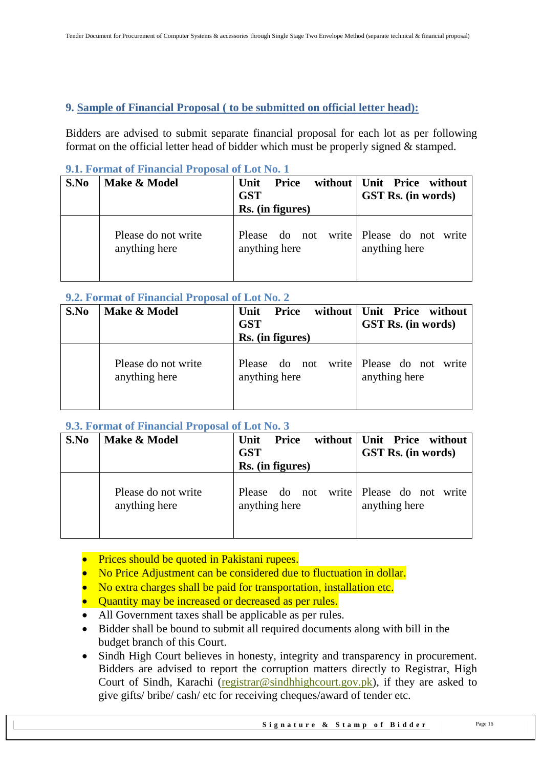## <span id="page-15-0"></span>**9. Sample of Financial Proposal ( to be submitted on official letter head):**

Bidders are advised to submit separate financial proposal for each lot as per following format on the official letter head of bidder which must be properly signed & stamped.

| S.No | Make & Model                         | without<br><b>Price</b><br>Unit<br><b>GST</b><br>Rs. (in figures)            | Unit Price without<br><b>GST Rs.</b> (in words) |
|------|--------------------------------------|------------------------------------------------------------------------------|-------------------------------------------------|
|      | Please do not write<br>anything here | Please do not<br>write<br>Please<br>do not<br>anything here<br>anything here | write                                           |

#### <span id="page-15-1"></span>**9.1. Format of Financial Proposal of Lot No. 1**

### <span id="page-15-2"></span>**9.2. Format of Financial Proposal of Lot No. 2**

| S.No | Make & Model        | Unit<br><b>Price</b><br><b>GST</b><br>Rs. (in figures) | without   Unit Price without<br><b>GST Rs.</b> (in words) |
|------|---------------------|--------------------------------------------------------|-----------------------------------------------------------|
|      | Please do not write | Please do not                                          | write Please do not write                                 |
|      | anything here       | anything here                                          | anything here                                             |

## <span id="page-15-3"></span>**9.3. Format of Financial Proposal of Lot No. 3**

| S.No | Make & Model                         | <b>Price</b><br>without<br>Unit<br><b>GST</b><br>Rs. (in figures) | Unit Price without<br>GST Rs. (in words)      |
|------|--------------------------------------|-------------------------------------------------------------------|-----------------------------------------------|
|      | Please do not write<br>anything here | Please do not<br>anything here                                    | write Please do not<br>write<br>anything here |

- Prices should be quoted in Pakistani rupees.
- No Price Adjustment can be considered due to fluctuation in dollar.
- No extra charges shall be paid for transportation, installation etc.
- Ouantity may be increased or decreased as per rules.
- All Government taxes shall be applicable as per rules.
- Bidder shall be bound to submit all required documents along with bill in the budget branch of this Court.
- Sindh High Court believes in honesty, integrity and transparency in procurement. Bidders are advised to report the corruption matters directly to Registrar, High Court of Sindh, Karachi [\(registrar@sindhhighcourt.gov.pk\)](mailto:registrar@sindhhighcourt.gov.pk), if they are asked to give gifts/ bribe/ cash/ etc for receiving cheques/award of tender etc.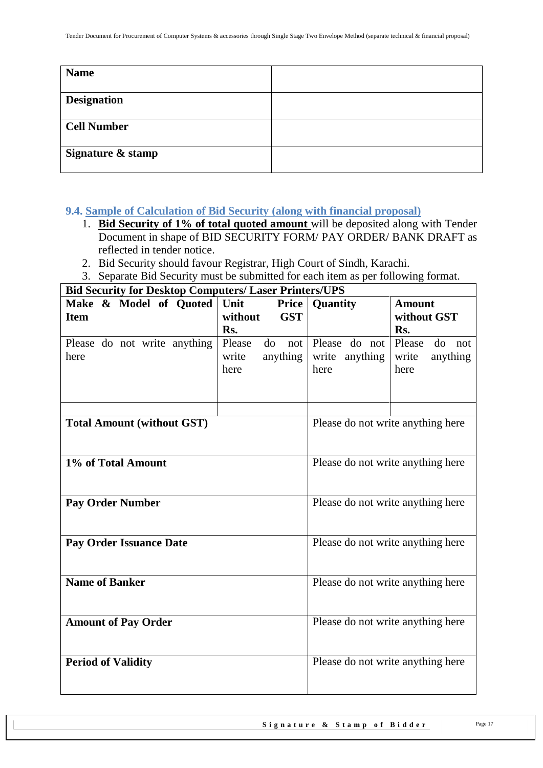| <b>Name</b>        |  |
|--------------------|--|
| <b>Designation</b> |  |
| <b>Cell Number</b> |  |
| Signature & stamp  |  |

<span id="page-16-0"></span>**9.4. Sample of Calculation of Bid Security (along with financial proposal)**

- 1. **Bid Security of 1% of total quoted amount** will be deposited along with Tender Document in shape of BID SECURITY FORM/ PAY ORDER/ BANK DRAFT as reflected in tender notice.
- 2. Bid Security should favour Registrar, High Court of Sindh, Karachi.
- 3. Separate Bid Security must be submitted for each item as per following format.

**Bid Security for Desktop Computers/ Laser Printers/UPS** Make & Model of Quoted Unit **Item Price without GST Rs. Quantity Amount without GST Rs.** Please do not write anything here Please do not Please do not Please do not write anything here write anything here write anything here **Total Amount** (without GST) Please do not write anything here **1% of Total Amount** Please do not write anything here **Pay Order Number** Please do not write anything here **Pay Order Issuance Date** Please do not write anything here **Name of Banker** Please do not write anything here **Amount of Pay Order** Please do not write anything here **Period of Validity** Please do not write anything here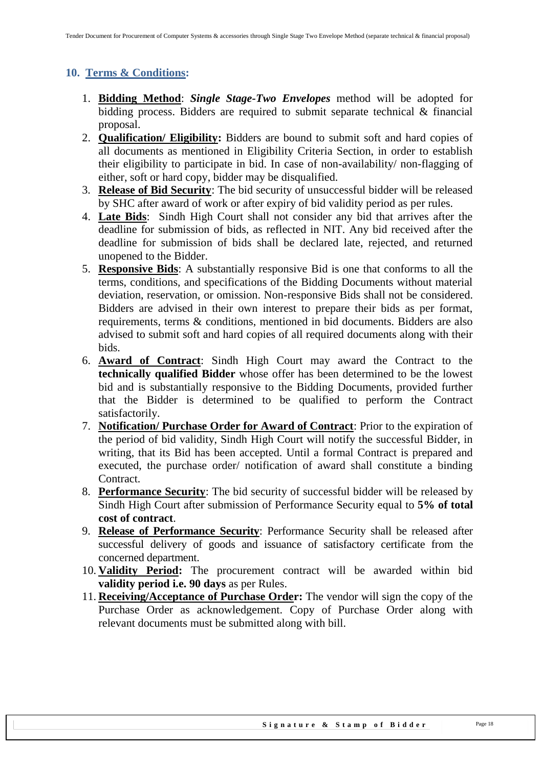## <span id="page-17-0"></span>**10. Terms & Conditions:**

- 1. **Bidding Method**: *Single Stage-Two Envelopes* method will be adopted for bidding process. Bidders are required to submit separate technical & financial proposal.
- 2. **Qualification/ Eligibility:** Bidders are bound to submit soft and hard copies of all documents as mentioned in Eligibility Criteria Section, in order to establish their eligibility to participate in bid. In case of non-availability/ non-flagging of either, soft or hard copy, bidder may be disqualified.
- 3. **Release of Bid Security**: The bid security of unsuccessful bidder will be released by SHC after award of work or after expiry of bid validity period as per rules.
- 4. **Late Bids**: Sindh High Court shall not consider any bid that arrives after the deadline for submission of bids, as reflected in NIT. Any bid received after the deadline for submission of bids shall be declared late, rejected, and returned unopened to the Bidder.
- 5. **Responsive Bids**: A substantially responsive Bid is one that conforms to all the terms, conditions, and specifications of the Bidding Documents without material deviation, reservation, or omission. Non-responsive Bids shall not be considered. Bidders are advised in their own interest to prepare their bids as per format, requirements, terms & conditions, mentioned in bid documents. Bidders are also advised to submit soft and hard copies of all required documents along with their bids.
- 6. **Award of Contract**: Sindh High Court may award the Contract to the **technically qualified Bidder** whose offer has been determined to be the lowest bid and is substantially responsive to the Bidding Documents, provided further that the Bidder is determined to be qualified to perform the Contract satisfactorily.
- 7. **Notification/ Purchase Order for Award of Contract**: Prior to the expiration of the period of bid validity, Sindh High Court will notify the successful Bidder, in writing, that its Bid has been accepted. Until a formal Contract is prepared and executed, the purchase order/ notification of award shall constitute a binding Contract.
- 8. **Performance Security**: The bid security of successful bidder will be released by Sindh High Court after submission of Performance Security equal to **5% of total cost of contract**.
- 9. **Release of Performance Security**: Performance Security shall be released after successful delivery of goods and issuance of satisfactory certificate from the concerned department.
- 10. **Validity Period:** The procurement contract will be awarded within bid **validity period i.e. 90 days** as per Rules.
- 11. **Receiving/Acceptance of Purchase Order:** The vendor will sign the copy of the Purchase Order as acknowledgement. Copy of Purchase Order along with relevant documents must be submitted along with bill.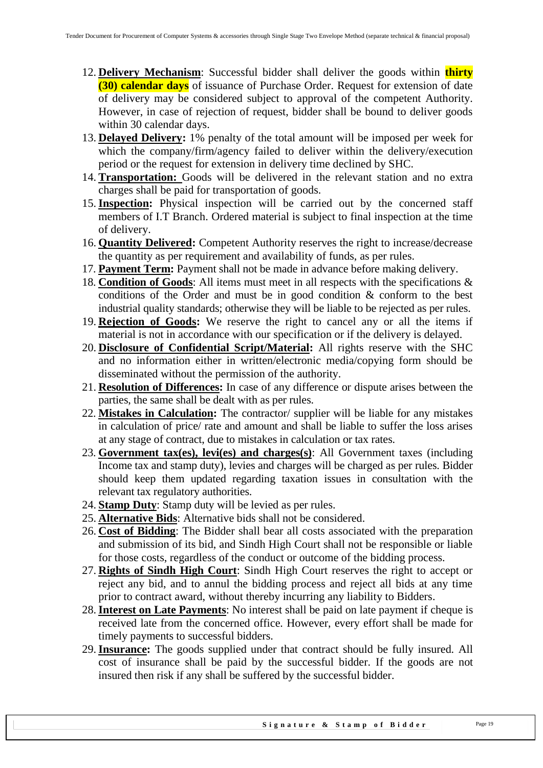- 12. **Delivery Mechanism**: Successful bidder shall deliver the goods within **thirty (30) calendar days** of issuance of Purchase Order. Request for extension of date of delivery may be considered subject to approval of the competent Authority. However, in case of rejection of request, bidder shall be bound to deliver goods within 30 calendar days.
- 13. **Delayed Delivery:** 1% penalty of the total amount will be imposed per week for which the company/firm/agency failed to deliver within the delivery/execution period or the request for extension in delivery time declined by SHC.
- 14. **Transportation:** Goods will be delivered in the relevant station and no extra charges shall be paid for transportation of goods.
- 15.**Inspection:** Physical inspection will be carried out by the concerned staff members of I.T Branch. Ordered material is subject to final inspection at the time of delivery.
- 16. **Quantity Delivered:** Competent Authority reserves the right to increase/decrease the quantity as per requirement and availability of funds, as per rules.
- 17. **Payment Term:** Payment shall not be made in advance before making delivery.
- 18. **Condition of Goods**: All items must meet in all respects with the specifications & conditions of the Order and must be in good condition & conform to the best industrial quality standards; otherwise they will be liable to be rejected as per rules.
- 19. **Rejection of Goods:** We reserve the right to cancel any or all the items if material is not in accordance with our specification or if the delivery is delayed.
- 20. **Disclosure of Confidential Script/Material:** All rights reserve with the SHC and no information either in written/electronic media/copying form should be disseminated without the permission of the authority.
- 21. **Resolution of Differences:** In case of any difference or dispute arises between the parties, the same shall be dealt with as per rules.
- 22. **Mistakes in Calculation:** The contractor/ supplier will be liable for any mistakes in calculation of price/ rate and amount and shall be liable to suffer the loss arises at any stage of contract, due to mistakes in calculation or tax rates.
- 23. **Government tax(es), levi(es) and charges(s)**: All Government taxes (including Income tax and stamp duty), levies and charges will be charged as per rules. Bidder should keep them updated regarding taxation issues in consultation with the relevant tax regulatory authorities.
- 24. **Stamp Duty**: Stamp duty will be levied as per rules.
- 25. **Alternative Bids**: Alternative bids shall not be considered.
- 26. **Cost of Bidding**: The Bidder shall bear all costs associated with the preparation and submission of its bid, and Sindh High Court shall not be responsible or liable for those costs, regardless of the conduct or outcome of the bidding process.
- 27. **Rights of Sindh High Court**: Sindh High Court reserves the right to accept or reject any bid, and to annul the bidding process and reject all bids at any time prior to contract award, without thereby incurring any liability to Bidders.
- 28.**Interest on Late Payments**: No interest shall be paid on late payment if cheque is received late from the concerned office. However, every effort shall be made for timely payments to successful bidders.
- 29.**Insurance:** The goods supplied under that contract should be fully insured. All cost of insurance shall be paid by the successful bidder. If the goods are not insured then risk if any shall be suffered by the successful bidder.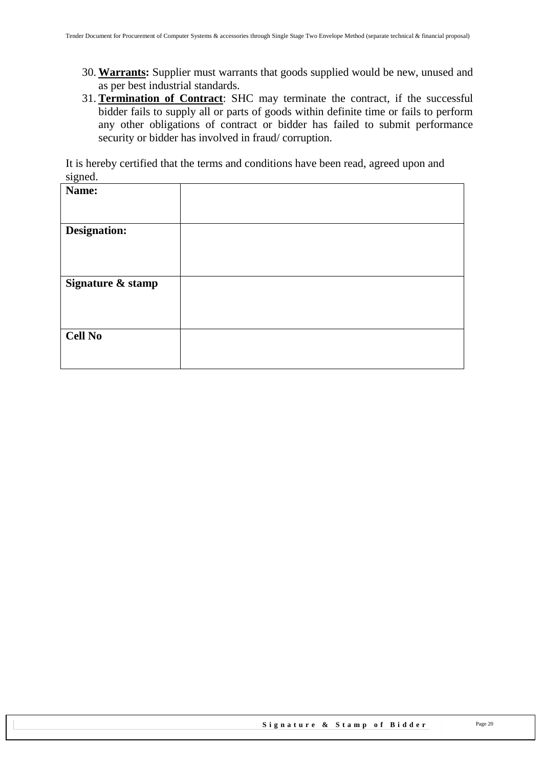- 30. **Warrants:** Supplier must warrants that goods supplied would be new, unused and as per best industrial standards.
- 31. **Termination of Contract**: SHC may terminate the contract, if the successful bidder fails to supply all or parts of goods within definite time or fails to perform any other obligations of contract or bidder has failed to submit performance security or bidder has involved in fraud/ corruption.

It is hereby certified that the terms and conditions have been read, agreed upon and signed.

| Name:               |  |
|---------------------|--|
| <b>Designation:</b> |  |
| Signature & stamp   |  |
| <b>Cell No</b>      |  |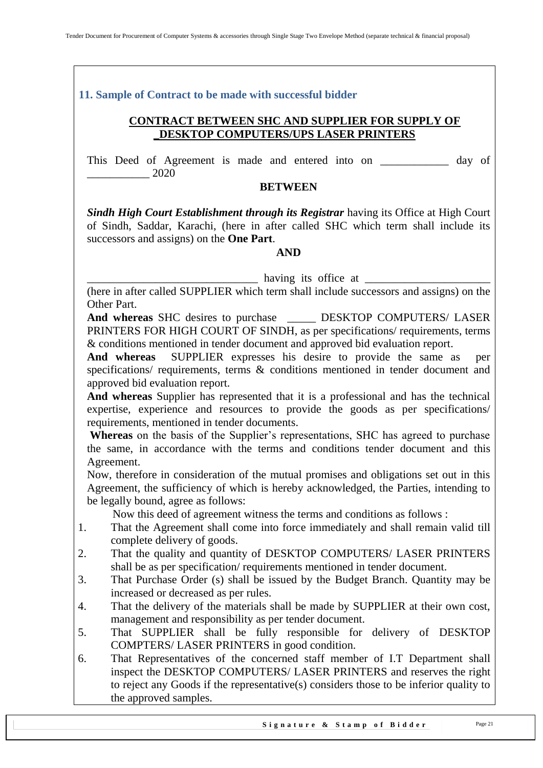<span id="page-20-0"></span>**11. Sample of Contract to be made with successful bidder**

#### **CONTRACT BETWEEN SHC AND SUPPLIER FOR SUPPLY OF \_DESKTOP COMPUTERS/UPS LASER PRINTERS**

This Deed of Agreement is made and entered into on \_\_\_\_\_\_\_\_\_\_\_\_ day of \_\_\_\_\_\_\_\_\_\_\_ 2020

#### **BETWEEN**

**Sindh High Court Establishment through its Registrar** having its Office at High Court of Sindh, Saddar, Karachi, (here in after called SHC which term shall include its successors and assigns) on the **One Part**.

#### **AND**

having its office at <u>\_\_\_\_\_\_\_\_\_\_\_\_</u>

(here in after called SUPPLIER which term shall include successors and assigns) on the Other Part.

**And whereas** SHC desires to purchase \_\_\_\_\_ DESKTOP COMPUTERS/ LASER PRINTERS FOR HIGH COURT OF SINDH, as per specifications/ requirements, terms & conditions mentioned in tender document and approved bid evaluation report.

**And whereas** SUPPLIER expresses his desire to provide the same as per specifications/ requirements, terms & conditions mentioned in tender document and approved bid evaluation report.

**And whereas** Supplier has represented that it is a professional and has the technical expertise, experience and resources to provide the goods as per specifications/ requirements, mentioned in tender documents.

**Whereas** on the basis of the Supplier's representations, SHC has agreed to purchase the same, in accordance with the terms and conditions tender document and this Agreement.

Now, therefore in consideration of the mutual promises and obligations set out in this Agreement, the sufficiency of which is hereby acknowledged, the Parties, intending to be legally bound, agree as follows:

Now this deed of agreement witness the terms and conditions as follows :

- 1. That the Agreement shall come into force immediately and shall remain valid till complete delivery of goods.
- 2. That the quality and quantity of DESKTOP COMPUTERS/ LASER PRINTERS shall be as per specification/ requirements mentioned in tender document.
- 3. That Purchase Order (s) shall be issued by the Budget Branch. Quantity may be increased or decreased as per rules.
- 4. That the delivery of the materials shall be made by SUPPLIER at their own cost, management and responsibility as per tender document.
- 5. That SUPPLIER shall be fully responsible for delivery of DESKTOP COMPTERS/ LASER PRINTERS in good condition.
- 6. That Representatives of the concerned staff member of I.T Department shall inspect the DESKTOP COMPUTERS/ LASER PRINTERS and reserves the right to reject any Goods if the representative(s) considers those to be inferior quality to the approved samples.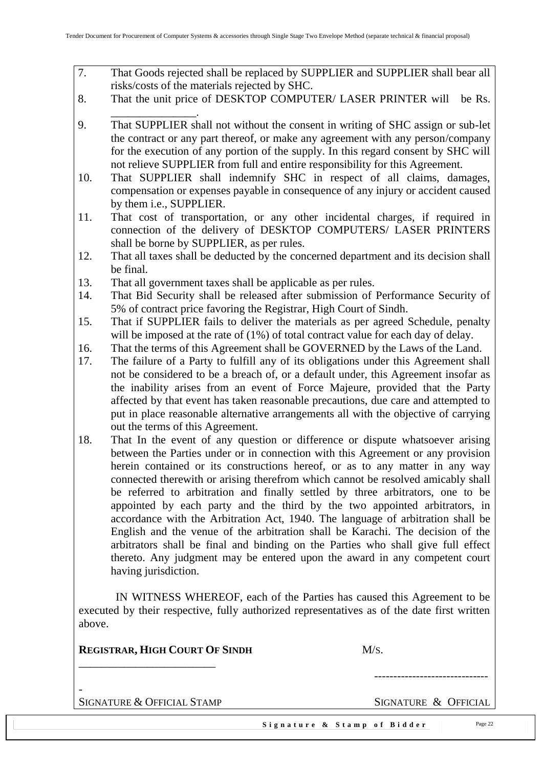- 7. That Goods rejected shall be replaced by SUPPLIER and SUPPLIER shall bear all risks/costs of the materials rejected by SHC.
- 8. That the unit price of DESKTOP COMPUTER/ LASER PRINTER will be Rs. \_\_\_\_\_\_\_\_\_\_\_\_\_\_\_.
- 9. That SUPPLIER shall not without the consent in writing of SHC assign or sub-let the contract or any part thereof, or make any agreement with any person/company for the execution of any portion of the supply. In this regard consent by SHC will not relieve SUPPLIER from full and entire responsibility for this Agreement.
- 10. That SUPPLIER shall indemnify SHC in respect of all claims, damages, compensation or expenses payable in consequence of any injury or accident caused by them i.e., SUPPLIER.
- 11. That cost of transportation, or any other incidental charges, if required in connection of the delivery of DESKTOP COMPUTERS/ LASER PRINTERS shall be borne by SUPPLIER, as per rules.
- 12. That all taxes shall be deducted by the concerned department and its decision shall be final.
- 13. That all government taxes shall be applicable as per rules.
- 14. That Bid Security shall be released after submission of Performance Security of 5% of contract price favoring the Registrar, High Court of Sindh.
- 15. That if SUPPLIER fails to deliver the materials as per agreed Schedule, penalty will be imposed at the rate of (1%) of total contract value for each day of delay.
- 16. That the terms of this Agreement shall be GOVERNED by the Laws of the Land.
- 17. The failure of a Party to fulfill any of its obligations under this Agreement shall not be considered to be a breach of, or a default under, this Agreement insofar as the inability arises from an event of Force Majeure, provided that the Party affected by that event has taken reasonable precautions, due care and attempted to put in place reasonable alternative arrangements all with the objective of carrying out the terms of this Agreement.
- 18. That In the event of any question or difference or dispute whatsoever arising between the Parties under or in connection with this Agreement or any provision herein contained or its constructions hereof, or as to any matter in any way connected therewith or arising therefrom which cannot be resolved amicably shall be referred to arbitration and finally settled by three arbitrators, one to be appointed by each party and the third by the two appointed arbitrators, in accordance with the Arbitration Act, 1940. The language of arbitration shall be English and the venue of the arbitration shall be Karachi. The decision of the arbitrators shall be final and binding on the Parties who shall give full effect thereto. Any judgment may be entered upon the award in any competent court having jurisdiction.

 IN WITNESS WHEREOF, each of the Parties has caused this Agreement to be executed by their respective, fully authorized representatives as of the date first written above.

| <b>REGISTRAR, HIGH COURT OF SINDH</b> |                             | M/s.                 |         |
|---------------------------------------|-----------------------------|----------------------|---------|
|                                       |                             |                      |         |
| SIGNATURE & OFFICIAL STAMP            |                             | SIGNATURE & OFFICIAL |         |
|                                       | Signature & Stamp of Bidder |                      | Page 22 |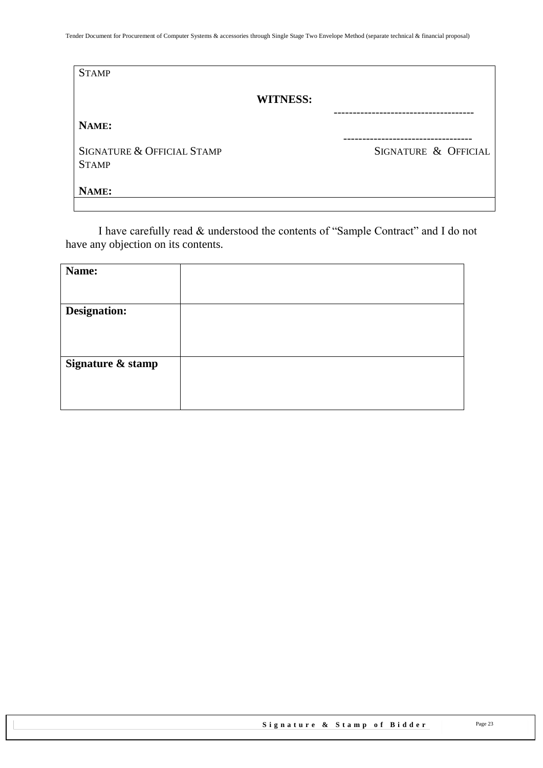| <b>STAMP</b>                               |                      |
|--------------------------------------------|----------------------|
| <b>WITNESS:</b>                            |                      |
| NAME:                                      |                      |
| SIGNATURE & OFFICIAL STAMP<br><b>STAMP</b> | SIGNATURE & OFFICIAL |
| NAME:                                      |                      |

I have carefully read & understood the contents of "Sample Contract" and I do not have any objection on its contents.

| Name:               |  |
|---------------------|--|
|                     |  |
|                     |  |
| <b>Designation:</b> |  |
|                     |  |
|                     |  |
|                     |  |
|                     |  |
|                     |  |
|                     |  |
|                     |  |
|                     |  |
| Signature & stamp   |  |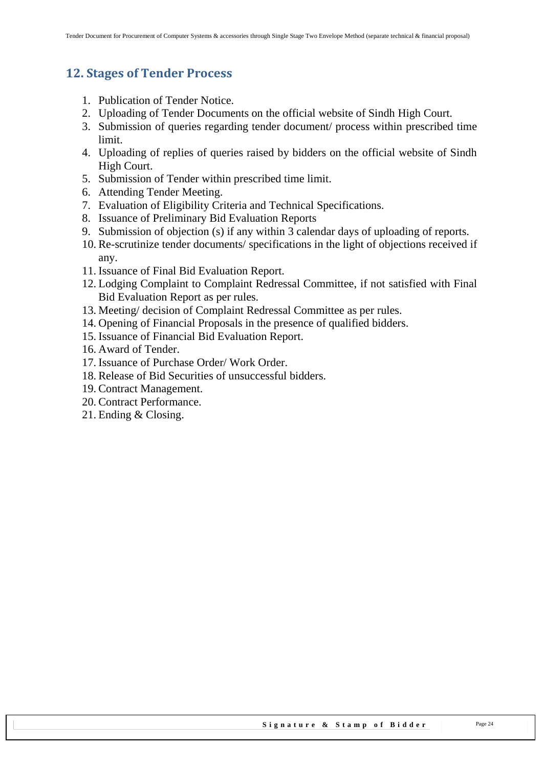## <span id="page-23-0"></span>**12. Stages of Tender Process**

- 1. Publication of Tender Notice.
- 2. Uploading of Tender Documents on the official website of Sindh High Court.
- 3. Submission of queries regarding tender document/ process within prescribed time limit.
- 4. Uploading of replies of queries raised by bidders on the official website of Sindh High Court.
- 5. Submission of Tender within prescribed time limit.
- 6. Attending Tender Meeting.
- 7. Evaluation of Eligibility Criteria and Technical Specifications.
- 8. Issuance of Preliminary Bid Evaluation Reports
- 9. Submission of objection (s) if any within 3 calendar days of uploading of reports.
- 10. Re-scrutinize tender documents/ specifications in the light of objections received if any.
- 11. Issuance of Final Bid Evaluation Report.
- 12. Lodging Complaint to Complaint Redressal Committee, if not satisfied with Final Bid Evaluation Report as per rules.
- 13. Meeting/ decision of Complaint Redressal Committee as per rules.
- 14. Opening of Financial Proposals in the presence of qualified bidders.
- 15. Issuance of Financial Bid Evaluation Report.
- 16. Award of Tender.
- 17. Issuance of Purchase Order/ Work Order.
- 18. Release of Bid Securities of unsuccessful bidders.
- 19. Contract Management.
- 20. Contract Performance.
- 21. Ending & Closing.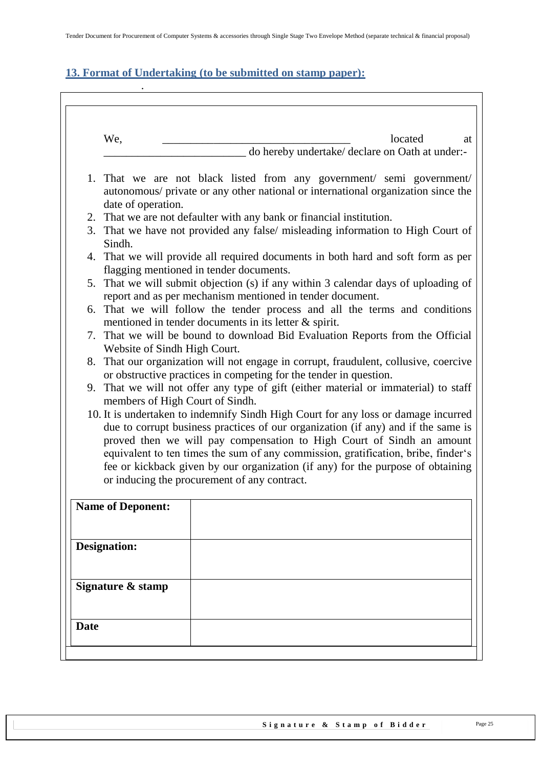## <span id="page-24-0"></span>**13. Format of Undertaking (to be submitted on stamp paper):**

|    | We,                                                                                                                                                                              | located<br>at                                                                                                                                                                                                                                                                                                                                                                                                            |  |  |  |
|----|----------------------------------------------------------------------------------------------------------------------------------------------------------------------------------|--------------------------------------------------------------------------------------------------------------------------------------------------------------------------------------------------------------------------------------------------------------------------------------------------------------------------------------------------------------------------------------------------------------------------|--|--|--|
|    |                                                                                                                                                                                  | do hereby undertake/ declare on Oath at under:-                                                                                                                                                                                                                                                                                                                                                                          |  |  |  |
|    | 1. That we are not black listed from any government/ semi government/<br>autonomous/ private or any other national or international organization since the<br>date of operation. |                                                                                                                                                                                                                                                                                                                                                                                                                          |  |  |  |
|    |                                                                                                                                                                                  | 2. That we are not defaulter with any bank or financial institution.                                                                                                                                                                                                                                                                                                                                                     |  |  |  |
| 3. | That we have not provided any false/ misleading information to High Court of<br>Sindh.                                                                                           |                                                                                                                                                                                                                                                                                                                                                                                                                          |  |  |  |
|    | 4. That we will provide all required documents in both hard and soft form as per<br>flagging mentioned in tender documents.                                                      |                                                                                                                                                                                                                                                                                                                                                                                                                          |  |  |  |
| 5. | That we will submit objection (s) if any within 3 calendar days of uploading of<br>report and as per mechanism mentioned in tender document.                                     |                                                                                                                                                                                                                                                                                                                                                                                                                          |  |  |  |
|    | 6. That we will follow the tender process and all the terms and conditions<br>mentioned in tender documents in its letter $\&$ spirit.                                           |                                                                                                                                                                                                                                                                                                                                                                                                                          |  |  |  |
|    | 7. That we will be bound to download Bid Evaluation Reports from the Official<br>Website of Sindh High Court.                                                                    |                                                                                                                                                                                                                                                                                                                                                                                                                          |  |  |  |
|    | 8. That our organization will not engage in corrupt, fraudulent, collusive, coercive<br>or obstructive practices in competing for the tender in question.                        |                                                                                                                                                                                                                                                                                                                                                                                                                          |  |  |  |
|    |                                                                                                                                                                                  | 9. That we will not offer any type of gift (either material or immaterial) to staff<br>members of High Court of Sindh.                                                                                                                                                                                                                                                                                                   |  |  |  |
|    |                                                                                                                                                                                  | 10. It is undertaken to indemnify Sindh High Court for any loss or damage incurred<br>due to corrupt business practices of our organization (if any) and if the same is<br>proved then we will pay compensation to High Court of Sindh an amount<br>equivalent to ten times the sum of any commission, gratification, bribe, finder's<br>fee or kickback given by our organization (if any) for the purpose of obtaining |  |  |  |
|    |                                                                                                                                                                                  | or inducing the procurement of any contract.                                                                                                                                                                                                                                                                                                                                                                             |  |  |  |
|    | <b>Name of Deponent:</b>                                                                                                                                                         |                                                                                                                                                                                                                                                                                                                                                                                                                          |  |  |  |
|    | <b>Designation:</b>                                                                                                                                                              |                                                                                                                                                                                                                                                                                                                                                                                                                          |  |  |  |
|    | Signature & stamp                                                                                                                                                                |                                                                                                                                                                                                                                                                                                                                                                                                                          |  |  |  |
|    |                                                                                                                                                                                  |                                                                                                                                                                                                                                                                                                                                                                                                                          |  |  |  |